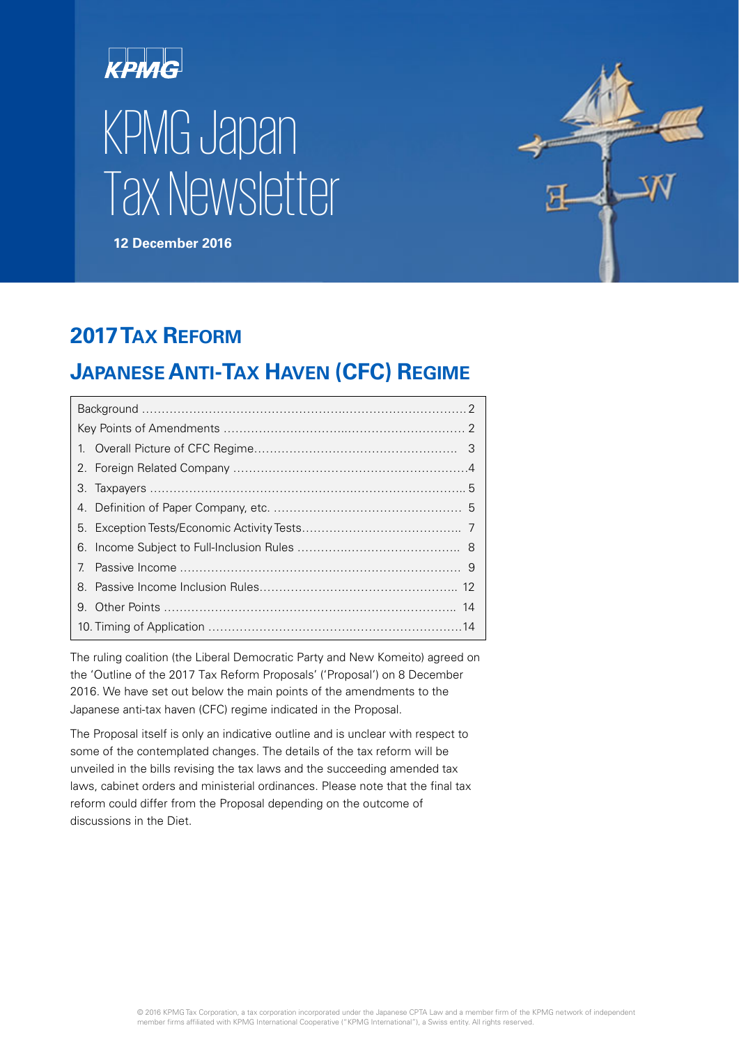



# **2017TAX REFORM**

# **JAPANESE ANTI-TAX HAVEN (CFC) REGIME**

| 7 <sub>1</sub> |  |  |  |
|----------------|--|--|--|
| 8.             |  |  |  |
|                |  |  |  |
|                |  |  |  |

The ruling coalition (the Liberal Democratic Party and New Komeito) agreed on the 'Outline of the 2017 Tax Reform Proposals' ('Proposal') on 8 December 2016. We have set out below the main points of the amendments to the Japanese anti-tax haven (CFC) regime indicated in the Proposal.

The Proposal itself is only an indicative outline and is unclear with respect to some of the contemplated changes. The details of the tax reform will be unveiled in the bills revising the tax laws and the succeeding amended tax laws, cabinet orders and ministerial ordinances. Please note that the final tax reform could differ from the Proposal depending on the outcome of discussions in the Diet.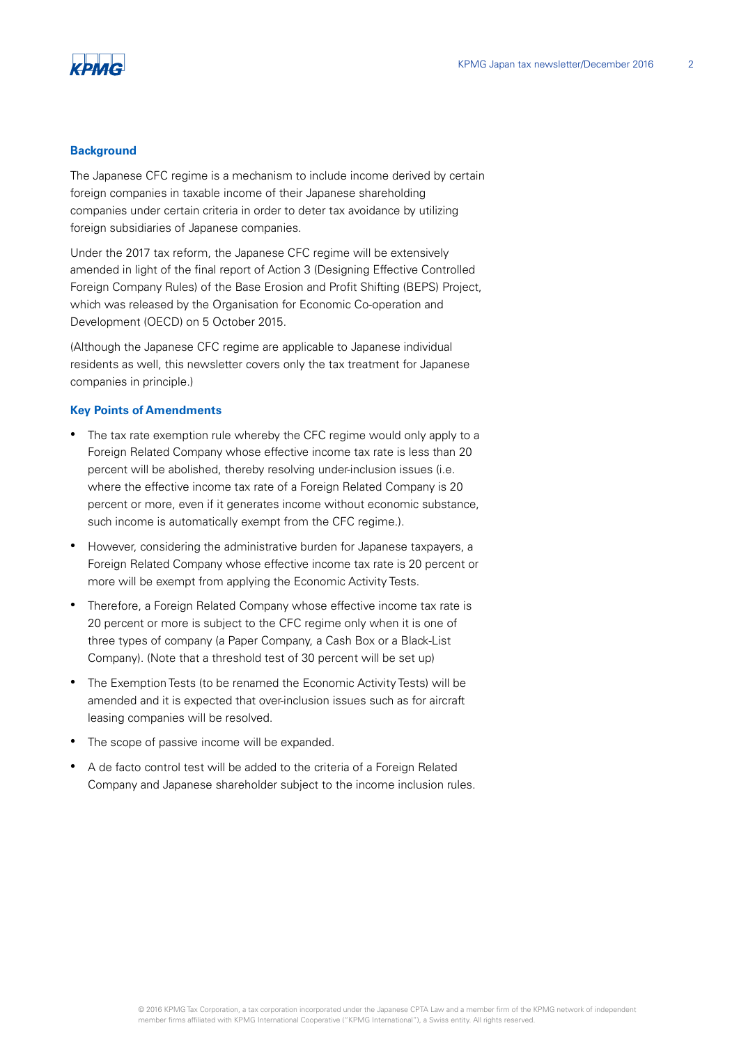

#### **Background**

The Japanese CFC regime is a mechanism to include income derived by certain foreign companies in taxable income of their Japanese shareholding companies under certain criteria in order to deter tax avoidance by utilizing foreign subsidiaries of Japanese companies.

Under the 2017 tax reform, the Japanese CFC regime will be extensively amended in light of the final report of Action 3 (Designing Effective Controlled Foreign Company Rules) of the Base Erosion and Profit Shifting (BEPS) Project, which was released by the Organisation for Economic Co-operation and Development (OECD) on 5 October 2015.

(Although the Japanese CFC regime are applicable to Japanese individual residents as well, this newsletter covers only the tax treatment for Japanese companies in principle.)

#### **Key Points of Amendments**

- The tax rate exemption rule whereby the CFC regime would only apply to a Foreign Related Company whose effective income tax rate is less than 20 percent will be abolished, thereby resolving under-inclusion issues (i.e. where the effective income tax rate of a Foreign Related Company is 20 percent or more, even if it generates income without economic substance, such income is automatically exempt from the CFC regime.).
- However, considering the administrative burden for Japanese taxpayers, a Foreign Related Company whose effective income tax rate is 20 percent or more will be exempt from applying the Economic Activity Tests.
- Therefore, a Foreign Related Company whose effective income tax rate is 20 percent or more is subject to the CFC regime only when it is one of three types of company (a Paper Company, a Cash Box or a Black-List Company). (Note that a threshold test of 30 percent will be set up)
- The Exemption Tests (to be renamed the Economic Activity Tests) will be amended and it is expected that over-inclusion issues such as for aircraft leasing companies will be resolved.
- The scope of passive income will be expanded.
- A de facto control test will be added to the criteria of a Foreign Related Company and Japanese shareholder subject to the income inclusion rules.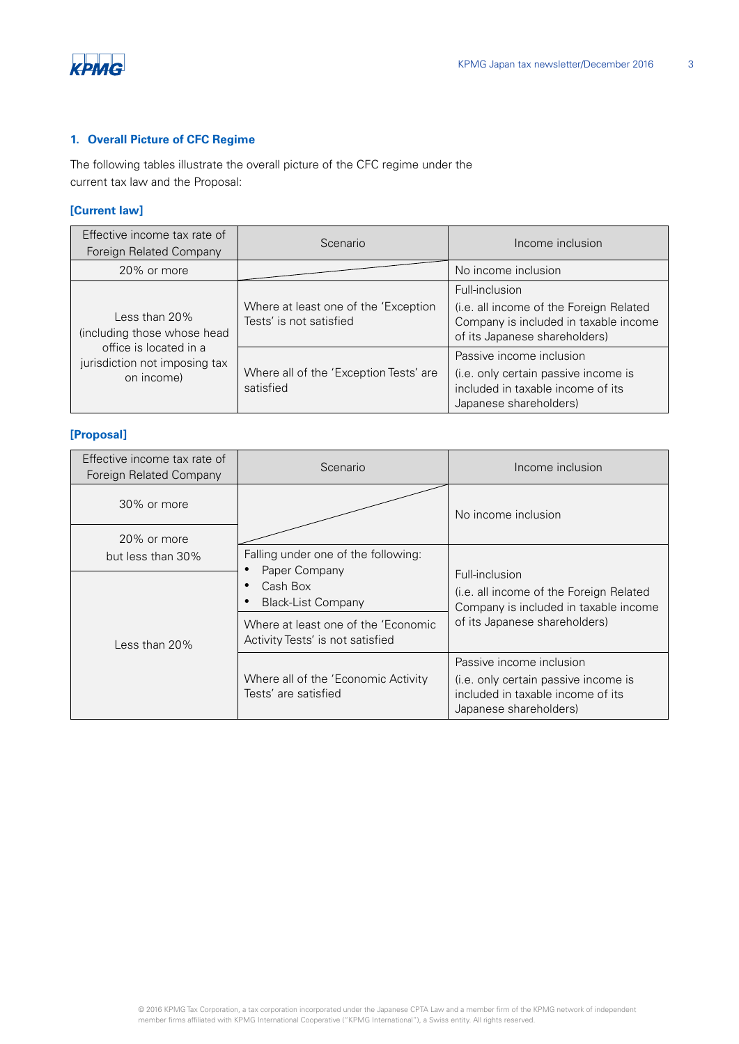

# **1. Overall Picture of CFC Regime**

The following tables illustrate the overall picture of the CFC regime under the current tax law and the Proposal:

# **[Current law]**

| Effective income tax rate of<br>Foreign Related Company               | Scenario                                                        | Income inclusion                                                                                                                    |
|-----------------------------------------------------------------------|-----------------------------------------------------------------|-------------------------------------------------------------------------------------------------------------------------------------|
| 20% or more                                                           |                                                                 | No income inclusion                                                                                                                 |
| Less than $20\%$<br>(including those whose head                       | Where at least one of the 'Exception<br>Tests' is not satisfied | Full-inclusion<br>(i.e. all income of the Foreign Related<br>Company is included in taxable income<br>of its Japanese shareholders) |
| office is located in a<br>jurisdiction not imposing tax<br>on income) | Where all of the 'Exception Tests' are<br>satisfied             | Passive income inclusion<br>(i.e. only certain passive income is<br>included in taxable income of its<br>Japanese shareholders)     |

# **[Proposal]**

| Effective income tax rate of<br>Foreign Related Company | Scenario                                                                | Income inclusion                                                                                                                |
|---------------------------------------------------------|-------------------------------------------------------------------------|---------------------------------------------------------------------------------------------------------------------------------|
| 30% or more                                             |                                                                         | No income inclusion                                                                                                             |
| 20% or more<br>but less than 30%                        | Falling under one of the following:                                     |                                                                                                                                 |
|                                                         | Paper Company<br>Cash Box<br><b>Black-List Company</b>                  | Full-inclusion<br>(i.e. all income of the Foreign Related<br>Company is included in taxable income                              |
| Less than $20\%$                                        | Where at least one of the 'Economic<br>Activity Tests' is not satisfied | of its Japanese shareholders)                                                                                                   |
|                                                         | Where all of the 'Economic Activity<br>Tests' are satisfied             | Passive income inclusion<br>(i.e. only certain passive income is<br>included in taxable income of its<br>Japanese shareholders) |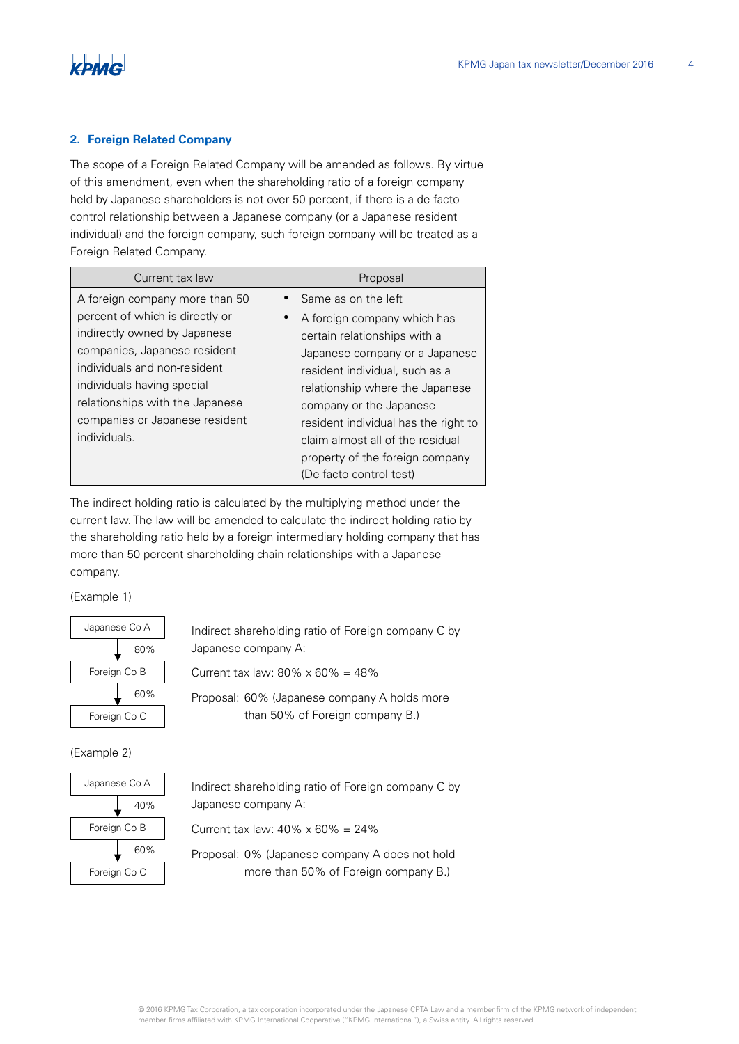

#### **2. Foreign Related Company**

The scope of a Foreign Related Company will be amended as follows. By virtue of this amendment, even when the shareholding ratio of a foreign company held by Japanese shareholders is not over 50 percent, if there is a de facto control relationship between a Japanese company (or a Japanese resident individual) and the foreign company, such foreign company will be treated as a Foreign Related Company.

| Current tax law                 | Proposal                             |
|---------------------------------|--------------------------------------|
| A foreign company more than 50  | Same as on the left                  |
| percent of which is directly or | A foreign company which has          |
| indirectly owned by Japanese    | certain relationships with a         |
| companies, Japanese resident    | Japanese company or a Japanese       |
| individuals and non-resident    | resident individual, such as a       |
| individuals having special      | relationship where the Japanese      |
| relationships with the Japanese | company or the Japanese              |
| companies or Japanese resident  | resident individual has the right to |
| individuals.                    | claim almost all of the residual     |
|                                 | property of the foreign company      |
|                                 | (De facto control test)              |

The indirect holding ratio is calculated by the multiplying method under the current law. The law will be amended to calculate the indirect holding ratio by the shareholding ratio held by a foreign intermediary holding company that has more than 50 percent shareholding chain relationships with a Japanese company.

(Example 1)



Indirect shareholding ratio of Foreign company C by Japanese company A:

Current tax law:  $80\% \times 60\% = 48\%$ 

Proposal: 60% (Japanese company A holds more than 50% of Foreign company B.)

(Example 2)



Indirect shareholding ratio of Foreign company C by Japanese company A:

Current tax law:  $40\% \times 60\% = 24\%$ 

Proposal: 0% (Japanese company A does not hold more than 50% of Foreign company B.)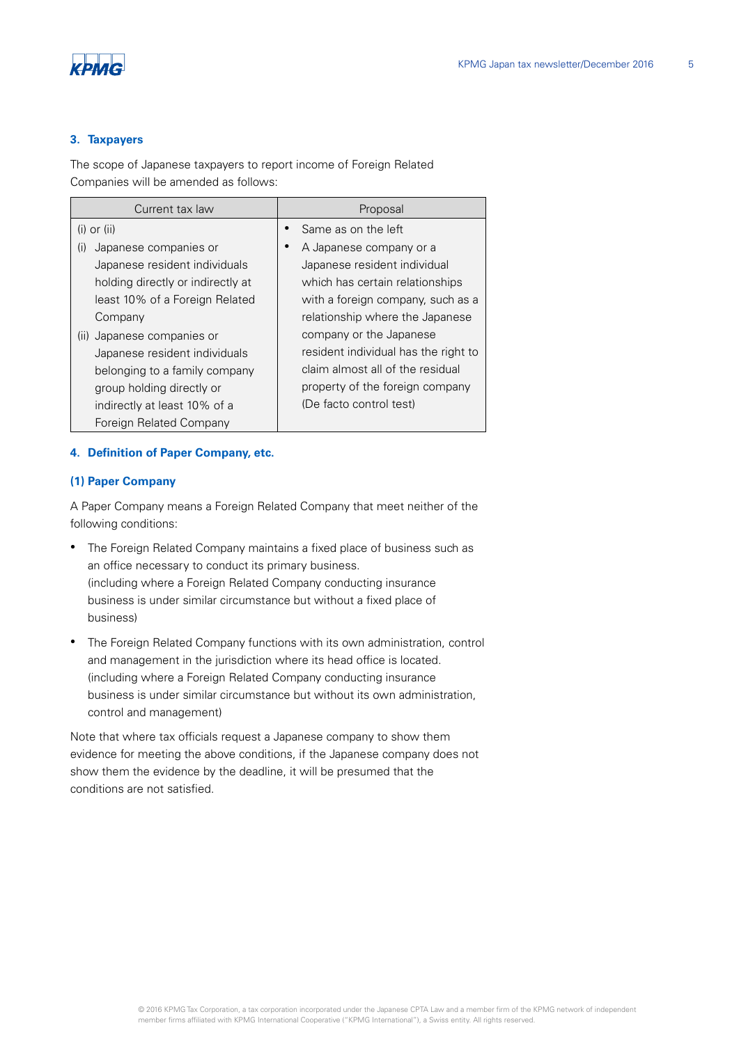

### **3. Taxpayers**

The scope of Japanese taxpayers to report income of Foreign Related Companies will be amended as follows:

| Current tax law                   | Proposal                             |
|-----------------------------------|--------------------------------------|
| $(i)$ or $(ii)$                   | Same as on the left                  |
| Japanese companies or<br>(i)      | A Japanese company or a              |
| Japanese resident individuals     | Japanese resident individual         |
| holding directly or indirectly at | which has certain relationships      |
| least 10% of a Foreign Related    | with a foreign company, such as a    |
| Company                           | relationship where the Japanese      |
| Japanese companies or<br>(11)     | company or the Japanese              |
| Japanese resident individuals     | resident individual has the right to |
| belonging to a family company     | claim almost all of the residual     |
| group holding directly or         | property of the foreign company      |
| indirectly at least 10% of a      | (De facto control test)              |
| Foreign Related Company           |                                      |

#### **4. Definition of Paper Company, etc.**

#### **(1) Paper Company**

A Paper Company means a Foreign Related Company that meet neither of the following conditions:

- The Foreign Related Company maintains a fixed place of business such as an office necessary to conduct its primary business. (including where a Foreign Related Company conducting insurance business is under similar circumstance but without a fixed place of business)
- The Foreign Related Company functions with its own administration, control and management in the jurisdiction where its head office is located. (including where a Foreign Related Company conducting insurance business is under similar circumstance but without its own administration, control and management)

Note that where tax officials request a Japanese company to show them evidence for meeting the above conditions, if the Japanese company does not show them the evidence by the deadline, it will be presumed that the conditions are not satisfied.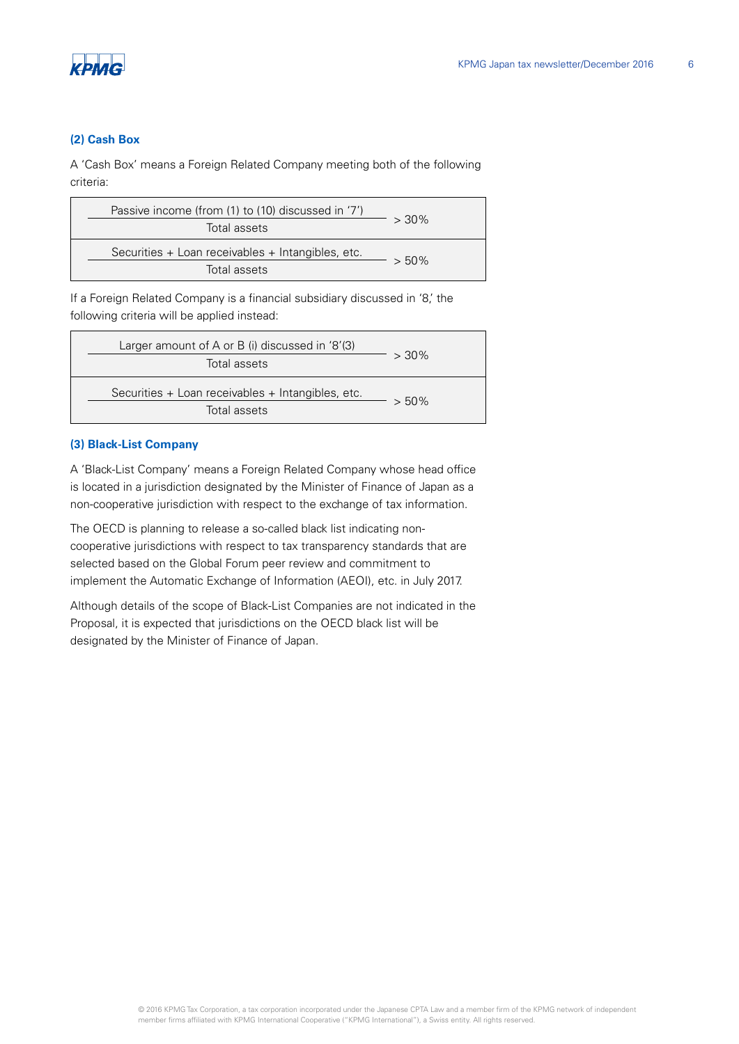

#### **(2) Cash Box**

A 'Cash Box' means a Foreign Related Company meeting both of the following criteria:

| Passive income (from (1) to (10) discussed in '7')<br>Total assets | $> 30\%$ |
|--------------------------------------------------------------------|----------|
| Securities + Loan receivables + Intangibles, etc.<br>Total assets  | $> 50\%$ |

If a Foreign Related Company is a financial subsidiary discussed in '8,' the following criteria will be applied instead:

| Larger amount of A or B (i) discussed in $'8'(3)$                 |          |
|-------------------------------------------------------------------|----------|
| Total assets                                                      | $> 30\%$ |
| Securities + Loan receivables + Intangibles, etc.<br>Total assets | $> 50\%$ |

#### **(3) Black-List Company**

A 'Black-List Company' means a Foreign Related Company whose head office is located in a jurisdiction designated by the Minister of Finance of Japan as a non-cooperative jurisdiction with respect to the exchange of tax information.

The OECD is planning to release a so-called black list indicating noncooperative jurisdictions with respect to tax transparency standards that are selected based on the Global Forum peer review and commitment to implement the Automatic Exchange of Information (AEOI), etc. in July 2017.

Although details of the scope of Black-List Companies are not indicated in the Proposal, it is expected that jurisdictions on the OECD black list will be designated by the Minister of Finance of Japan.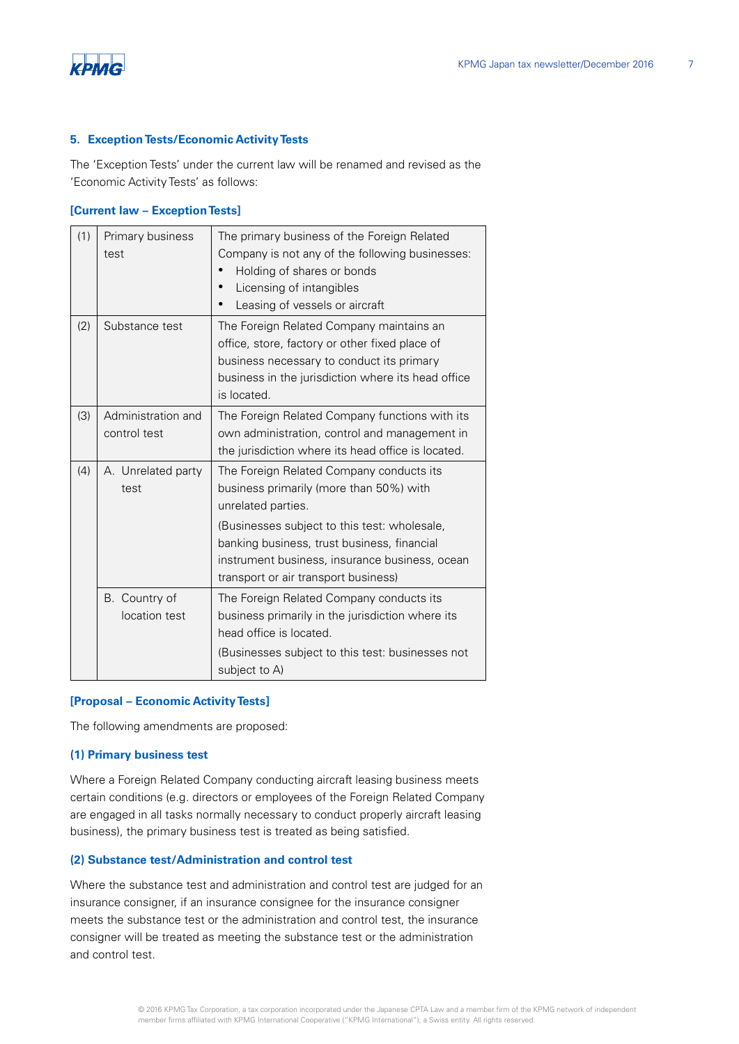

#### **5. Exception Tests/Economic Activity Tests**

The 'Exception Tests' under the current law will be renamed and revised as the 'Economic Activity Tests' as follows:

#### **[Current law – Exception Tests]**

| (1) | Primary business<br>test           | The primary business of the Foreign Related<br>Company is not any of the following businesses:<br>Holding of shares or bonds<br>Licensing of intangibles<br>Leasing of vessels or aircraft                                                                                                         |
|-----|------------------------------------|----------------------------------------------------------------------------------------------------------------------------------------------------------------------------------------------------------------------------------------------------------------------------------------------------|
| (2) | Substance test                     | The Foreign Related Company maintains an<br>office, store, factory or other fixed place of<br>business necessary to conduct its primary<br>business in the jurisdiction where its head office<br>is located.                                                                                       |
| (3) | Administration and<br>control test | The Foreign Related Company functions with its<br>own administration, control and management in<br>the jurisdiction where its head office is located.                                                                                                                                              |
| (4) | A. Unrelated party<br>test         | The Foreign Related Company conducts its<br>business primarily (more than 50%) with<br>unrelated parties.<br>(Businesses subject to this test: wholesale,<br>banking business, trust business, financial<br>instrument business, insurance business, ocean<br>transport or air transport business) |
|     | B. Country of<br>location test     | The Foreign Related Company conducts its<br>business primarily in the jurisdiction where its<br>head office is located.<br>(Businesses subject to this test: businesses not<br>subject to A)                                                                                                       |

#### **[Proposal – Economic Activity Tests]**

The following amendments are proposed:

#### **(1) Primary business test**

Where a Foreign Related Company conducting aircraft leasing business meets certain conditions (e.g. directors or employees of the Foreign Related Company are engaged in all tasks normally necessary to conduct properly aircraft leasing business), the primary business test is treated as being satisfied.

#### **(2) Substance test/Administration and control test**

Where the substance test and administration and control test are judged for an insurance consigner, if an insurance consignee for the insurance consigner meets the substance test or the administration and control test, the insurance consigner will be treated as meeting the substance test or the administration and control test.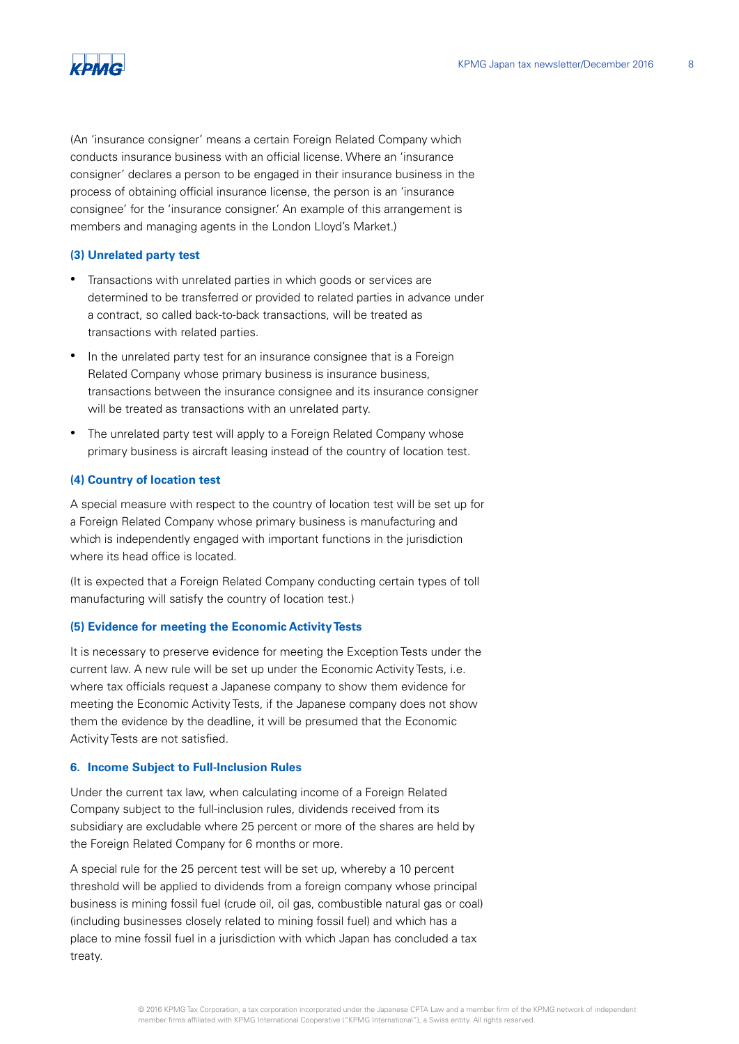



(An 'insurance consigner' means a certain Foreign Related Company which conducts insurance business with an official license. Where an 'insurance consigner' declares a person to be engaged in their insurance business in the process of obtaining official insurance license, the person is an 'insurance consignee' for the 'insurance consigner.' An example of this arrangement is members and managing agents in the London Lloyd's Market.)

#### **(3) Unrelated party test**

- Transactions with unrelated parties in which goods or services are determined to be transferred or provided to related parties in advance under a contract, so called back-to-back transactions, will be treated as transactions with related parties.
- In the unrelated party test for an insurance consignee that is a Foreign Related Company whose primary business is insurance business, transactions between the insurance consignee and its insurance consigner will be treated as transactions with an unrelated party.
- The unrelated party test will apply to a Foreign Related Company whose primary business is aircraft leasing instead of the country of location test.

#### **(4) Country of location test**

A special measure with respect to the country of location test will be set up for a Foreign Related Company whose primary business is manufacturing and which is independently engaged with important functions in the jurisdiction where its head office is located.

(It is expected that a Foreign Related Company conducting certain types of toll manufacturing will satisfy the country of location test.)

#### **(5) Evidence for meeting the Economic Activity Tests**

It is necessary to preserve evidence for meeting the Exception Tests under the current law. A new rule will be set up under the Economic Activity Tests, i.e. where tax officials request a Japanese company to show them evidence for meeting the Economic Activity Tests, if the Japanese company does not show them the evidence by the deadline, it will be presumed that the Economic Activity Tests are not satisfied.

#### **6. Income Subject to Full-Inclusion Rules**

Under the current tax law, when calculating income of a Foreign Related Company subject to the full-inclusion rules, dividends received from its subsidiary are excludable where 25 percent or more of the shares are held by the Foreign Related Company for 6 months or more.

A special rule for the 25 percent test will be set up, whereby a 10 percent threshold will be applied to dividends from a foreign company whose principal business is mining fossil fuel (crude oil, oil gas, combustible natural gas or coal) (including businesses closely related to mining fossil fuel) and which has a place to mine fossil fuel in a jurisdiction with which Japan has concluded a tax treaty.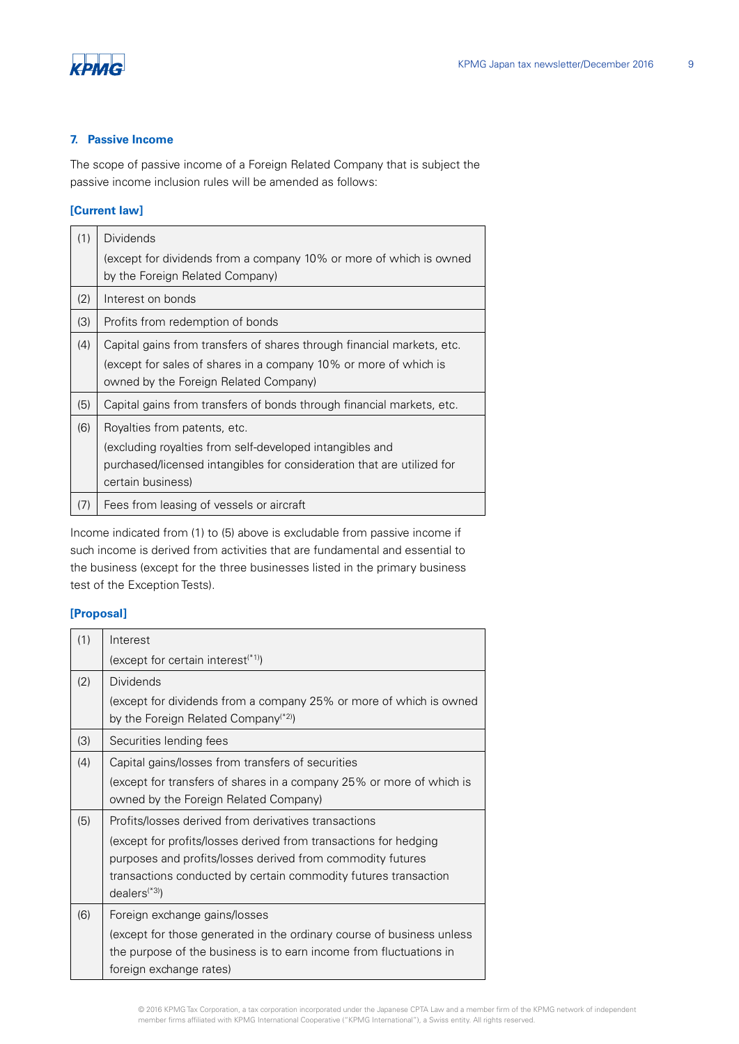

#### **7. Passive Income**

The scope of passive income of a Foreign Related Company that is subject the passive income inclusion rules will be amended as follows:

## **[Current law]**

| (1) | <b>Dividends</b><br>(except for dividends from a company 10% or more of which is owned                                                                                                  |
|-----|-----------------------------------------------------------------------------------------------------------------------------------------------------------------------------------------|
|     | by the Foreign Related Company)                                                                                                                                                         |
| (2) | Interest on bonds                                                                                                                                                                       |
| (3) | Profits from redemption of bonds                                                                                                                                                        |
| (4) | Capital gains from transfers of shares through financial markets, etc.<br>(except for sales of shares in a company 10% or more of which is<br>owned by the Foreign Related Company)     |
| (5) | Capital gains from transfers of bonds through financial markets, etc.                                                                                                                   |
| (6) | Royalties from patents, etc.<br>(excluding royalties from self-developed intangibles and<br>purchased/licensed intangibles for consideration that are utilized for<br>certain business) |
| (7) | Fees from leasing of vessels or aircraft                                                                                                                                                |

Income indicated from (1) to (5) above is excludable from passive income if such income is derived from activities that are fundamental and essential to the business (except for the three businesses listed in the primary business test of the Exception Tests).

# **[Proposal]**

| (1) | Interest                                                                                                               |
|-----|------------------------------------------------------------------------------------------------------------------------|
|     | (except for certain interest $(1)$ )                                                                                   |
| (2) | Dividends                                                                                                              |
|     | (except for dividends from a company 25% or more of which is owned<br>by the Foreign Related Company <sup>(*2)</sup> ) |
| (3) | Securities lending fees                                                                                                |
| (4) | Capital gains/losses from transfers of securities                                                                      |
|     | (except for transfers of shares in a company 25% or more of which is                                                   |
|     | owned by the Foreign Related Company)                                                                                  |
| (5) | Profits/losses derived from derivatives transactions                                                                   |
|     | (except for profits/losses derived from transactions for hedging                                                       |
|     | purposes and profits/losses derived from commodity futures                                                             |
|     | transactions conducted by certain commodity futures transaction                                                        |
|     | $dealers$ <sup>(*3)</sup> )                                                                                            |
| (6) | Foreign exchange gains/losses                                                                                          |
|     | (except for those generated in the ordinary course of business unless                                                  |
|     | the purpose of the business is to earn income from fluctuations in                                                     |
|     | foreign exchange rates)                                                                                                |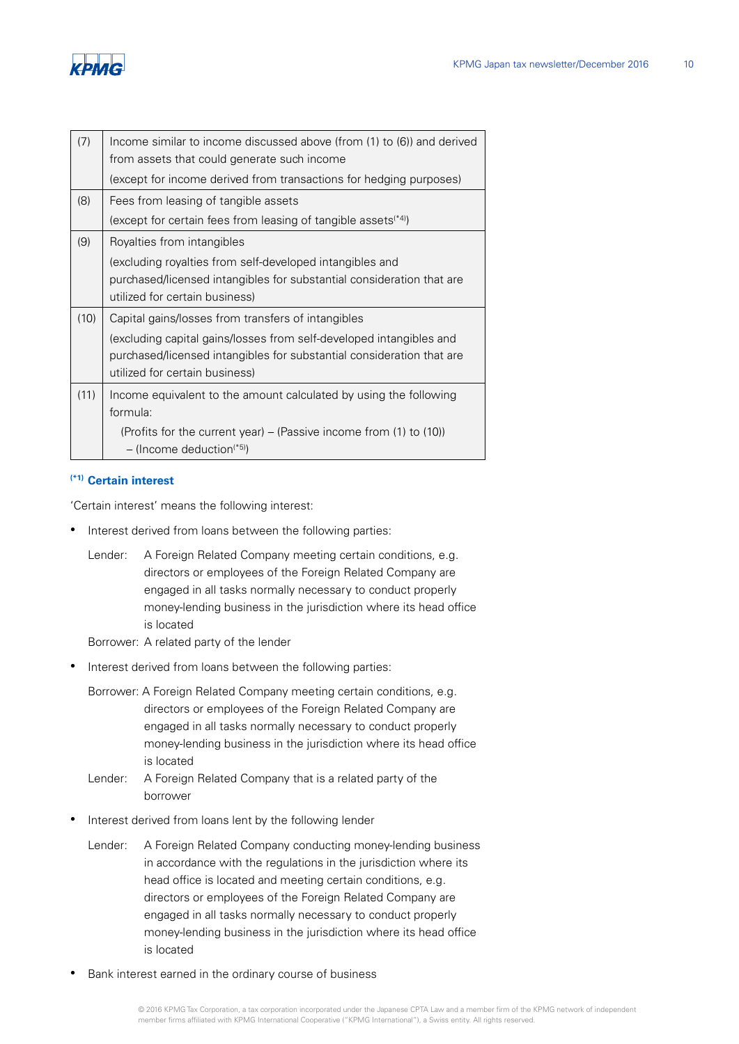| (7)  | Income similar to income discussed above (from $(1)$ to $(6)$ ) and derived<br>from assets that could generate such income |
|------|----------------------------------------------------------------------------------------------------------------------------|
|      | (except for income derived from transactions for hedging purposes)                                                         |
| (8)  | Fees from leasing of tangible assets                                                                                       |
|      | (except for certain fees from leasing of tangible assets $(44)$ )                                                          |
| (9)  | Royalties from intangibles                                                                                                 |
|      | (excluding royalties from self-developed intangibles and                                                                   |
|      | purchased/licensed intangibles for substantial consideration that are                                                      |
|      | utilized for certain business)                                                                                             |
| (10) | Capital gains/losses from transfers of intangibles                                                                         |
|      | (excluding capital gains/losses from self-developed intangibles and                                                        |
|      | purchased/licensed intangibles for substantial consideration that are                                                      |
|      | utilized for certain business)                                                                                             |
| (11) | Income equivalent to the amount calculated by using the following                                                          |
|      | formula:                                                                                                                   |
|      | (Profits for the current year) – (Passive income from (1) to (10))                                                         |
|      | $-$ (Income deduction <sup>(*5)</sup> )                                                                                    |

#### **(\*1) Certain interest**

'Certain interest' means the following interest:

- Interest derived from loans between the following parties:
	- Lender: A Foreign Related Company meeting certain conditions, e.g. directors or employees of the Foreign Related Company are engaged in all tasks normally necessary to conduct properly money-lending business in the jurisdiction where its head office is located
	- Borrower: A related party of the lender
- Interest derived from loans between the following parties:
	- Borrower: A Foreign Related Company meeting certain conditions, e.g. directors or employees of the Foreign Related Company are engaged in all tasks normally necessary to conduct properly money-lending business in the jurisdiction where its head office is located
	- Lender: A Foreign Related Company that is a related party of the borrower
- Interest derived from loans lent by the following lender
	- Lender: A Foreign Related Company conducting money-lending business in accordance with the regulations in the jurisdiction where its head office is located and meeting certain conditions, e.g. directors or employees of the Foreign Related Company are engaged in all tasks normally necessary to conduct properly money-lending business in the jurisdiction where its head office is located
- Bank interest earned in the ordinary course of business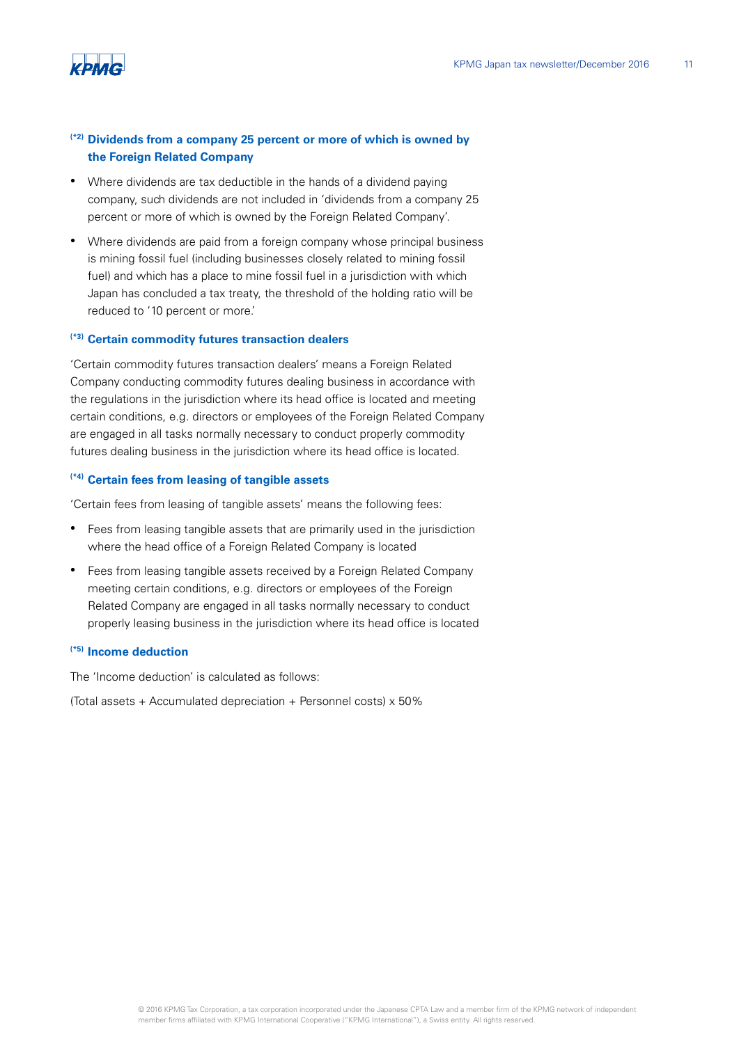

# **(\*2) Dividends from a company 25 percent or more of which is owned by the Foreign Related Company**

- Where dividends are tax deductible in the hands of a dividend paying company, such dividends are not included in 'dividends from a company 25 percent or more of which is owned by the Foreign Related Company'.
- Where dividends are paid from a foreign company whose principal business is mining fossil fuel (including businesses closely related to mining fossil fuel) and which has a place to mine fossil fuel in a jurisdiction with which Japan has concluded a tax treaty, the threshold of the holding ratio will be reduced to '10 percent or more.'

## **(\*3) Certain commodity futures transaction dealers**

'Certain commodity futures transaction dealers' means a Foreign Related Company conducting commodity futures dealing business in accordance with the regulations in the jurisdiction where its head office is located and meeting certain conditions, e.g. directors or employees of the Foreign Related Company are engaged in all tasks normally necessary to conduct properly commodity futures dealing business in the jurisdiction where its head office is located.

#### **(\*4) Certain fees from leasing of tangible assets**

'Certain fees from leasing of tangible assets' means the following fees:

- Fees from leasing tangible assets that are primarily used in the jurisdiction where the head office of a Foreign Related Company is located
- Fees from leasing tangible assets received by a Foreign Related Company meeting certain conditions, e.g. directors or employees of the Foreign Related Company are engaged in all tasks normally necessary to conduct properly leasing business in the jurisdiction where its head office is located

#### **(\*5) Income deduction**

The 'Income deduction' is calculated as follows:

(Total assets + Accumulated depreciation + Personnel costs)  $\times$  50%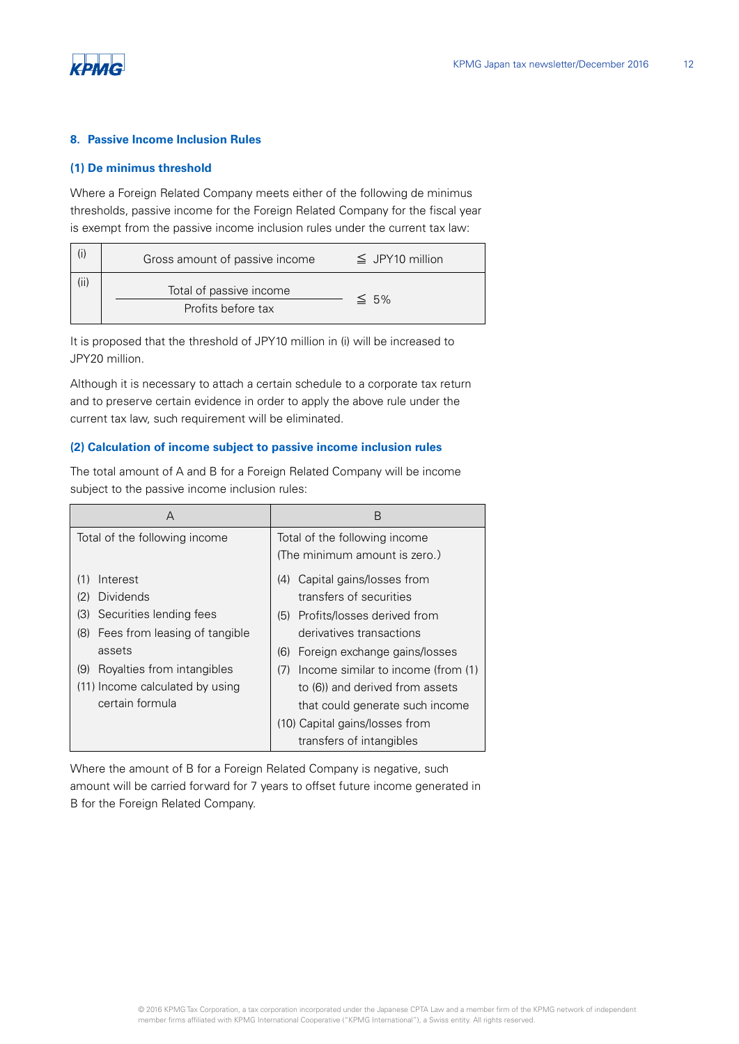

#### **8. Passive Income Inclusion Rules**

#### **(1) De minimus threshold**

Where a Foreign Related Company meets either of the following de minimus thresholds, passive income for the Foreign Related Company for the fiscal year is exempt from the passive income inclusion rules under the current tax law:

| Gross amount of passive income                | $\leq$ JPY10 million |
|-----------------------------------------------|----------------------|
| Total of passive income<br>Profits before tax | $\leq 5\%$           |

It is proposed that the threshold of JPY10 million in (i) will be increased to JPY20 million.

Although it is necessary to attach a certain schedule to a corporate tax return and to preserve certain evidence in order to apply the above rule under the current tax law, such requirement will be eliminated.

#### **(2) Calculation of income subject to passive income inclusion rules**

The total amount of A and B for a Foreign Related Company will be income subject to the passive income inclusion rules:

| A                                    | B                                         |
|--------------------------------------|-------------------------------------------|
| Total of the following income        | Total of the following income             |
|                                      | (The minimum amount is zero.)             |
| Interest<br>(1)                      | Capital gains/losses from<br>(4)          |
| <b>Dividends</b><br>(2)              | transfers of securities                   |
| Securities lending fees<br>(3)       | (5) Profits/losses derived from           |
| Fees from leasing of tangible<br>(8) | derivatives transactions                  |
| assets                               | Foreign exchange gains/losses<br>(6)      |
| Royalties from intangibles<br>(9)    | Income similar to income (from (1)<br>(7) |
| (11) Income calculated by using      | to (6)) and derived from assets           |
| certain formula                      | that could generate such income           |
|                                      | (10) Capital gains/losses from            |
|                                      | transfers of intangibles                  |

Where the amount of B for a Foreign Related Company is negative, such amount will be carried forward for 7 years to offset future income generated in B for the Foreign Related Company.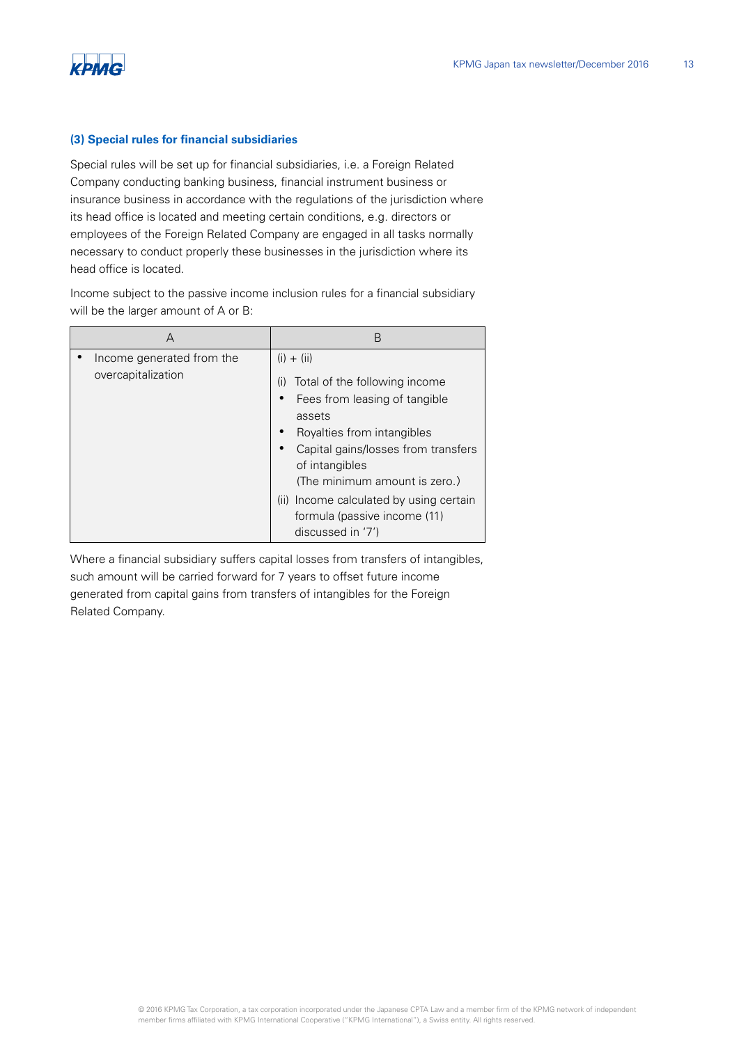

#### **(3) Special rules for financial subsidiaries**

Special rules will be set up for financial subsidiaries, i.e. a Foreign Related Company conducting banking business, financial instrument business or insurance business in accordance with the regulations of the jurisdiction where its head office is located and meeting certain conditions, e.g. directors or employees of the Foreign Related Company are engaged in all tasks normally necessary to conduct properly these businesses in the jurisdiction where its head office is located.

Income subject to the passive income inclusion rules for a financial subsidiary will be the larger amount of A or B:

| А                                               | B                                                                                                                                                                                                                                                                                                                       |
|-------------------------------------------------|-------------------------------------------------------------------------------------------------------------------------------------------------------------------------------------------------------------------------------------------------------------------------------------------------------------------------|
| Income generated from the<br>overcapitalization | $(i) + (ii)$<br>Total of the following income<br>(i)<br>Fees from leasing of tangible<br>assets<br>Royalties from intangibles<br>Capital gains/losses from transfers<br>of intangibles<br>(The minimum amount is zero.)<br>(ii) Income calculated by using certain<br>formula (passive income (11)<br>discussed in '7') |

Where a financial subsidiary suffers capital losses from transfers of intangibles, such amount will be carried forward for 7 years to offset future income generated from capital gains from transfers of intangibles for the Foreign Related Company.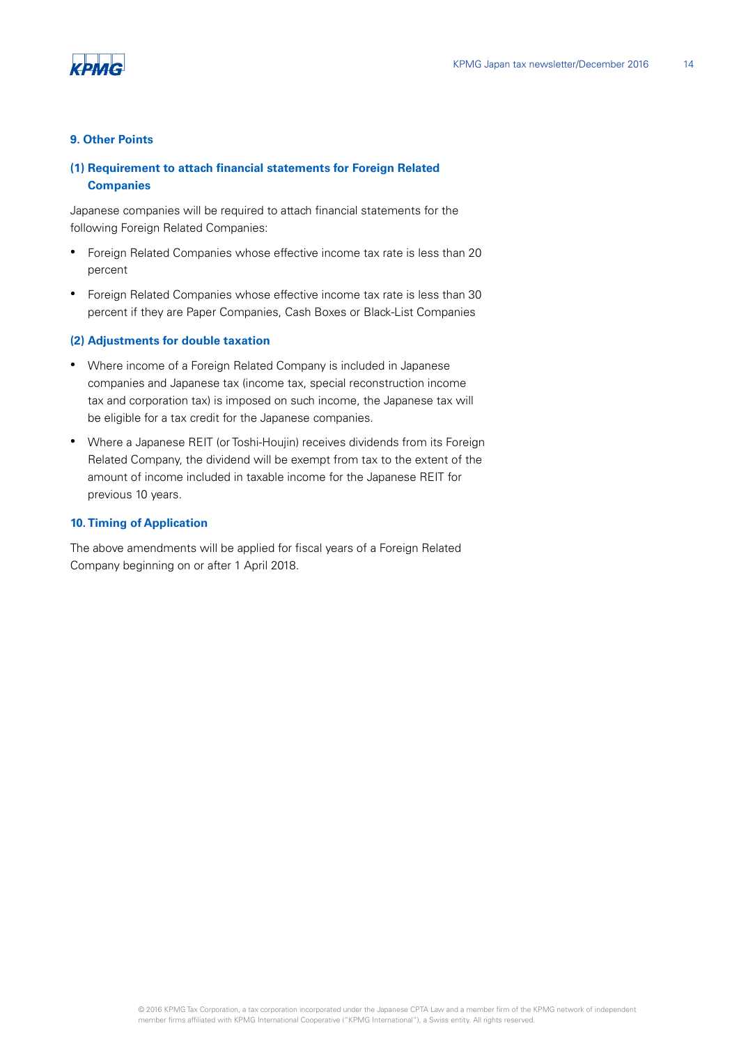

#### **9. Other Points**

# **(1) Requirement to attach financial statements for Foreign Related Companies**

Japanese companies will be required to attach financial statements for the following Foreign Related Companies:

- Foreign Related Companies whose effective income tax rate is less than 20 percent
- Foreign Related Companies whose effective income tax rate is less than 30 percent if they are Paper Companies, Cash Boxes or Black-List Companies

#### **(2) Adjustments for double taxation**

- Where income of a Foreign Related Company is included in Japanese companies and Japanese tax (income tax, special reconstruction income tax and corporation tax) is imposed on such income, the Japanese tax will be eligible for a tax credit for the Japanese companies.
- Where a Japanese REIT (or Toshi-Houjin) receives dividends from its Foreign Related Company, the dividend will be exempt from tax to the extent of the amount of income included in taxable income for the Japanese REIT for previous 10 years.

#### **10. Timing of Application**

The above amendments will be applied for fiscal years of a Foreign Related Company beginning on or after 1 April 2018.